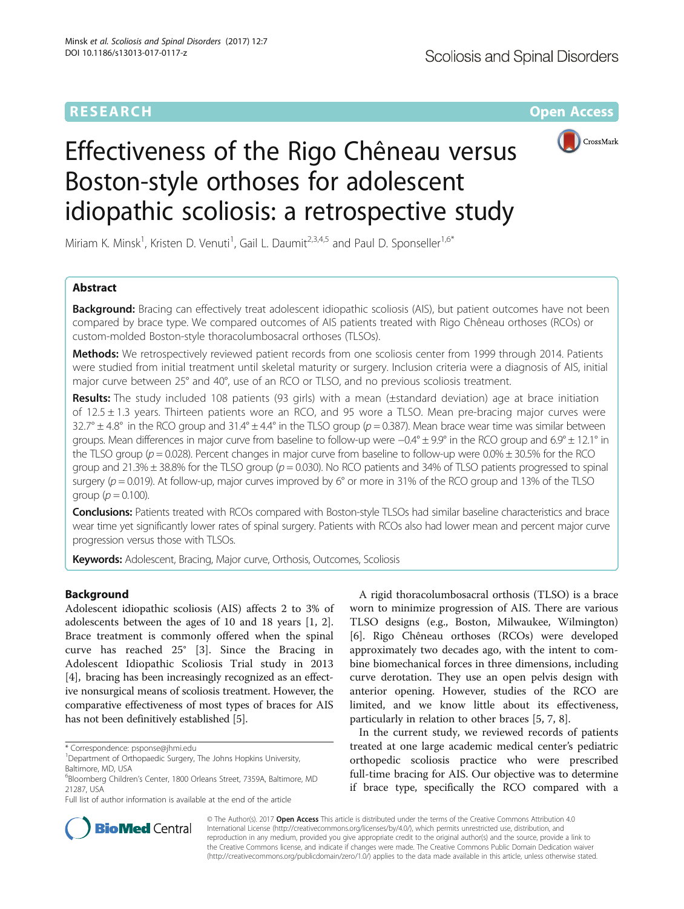

# Effectiveness of the Rigo Chêneau versus Boston-style orthoses for adolescent idiopathic scoliosis: a retrospective study

Miriam K. Minsk<sup>1</sup>, Kristen D. Venuti<sup>1</sup>, Gail L. Daumit<sup>2,3,4,5</sup> and Paul D. Sponseller<sup>1,6\*</sup>

# Abstract

**Background:** Bracing can effectively treat adolescent idiopathic scoliosis (AIS), but patient outcomes have not been compared by brace type. We compared outcomes of AIS patients treated with Rigo Chêneau orthoses (RCOs) or custom-molded Boston-style thoracolumbosacral orthoses (TLSOs).

Methods: We retrospectively reviewed patient records from one scoliosis center from 1999 through 2014. Patients were studied from initial treatment until skeletal maturity or surgery. Inclusion criteria were a diagnosis of AIS, initial major curve between 25° and 40°, use of an RCO or TLSO, and no previous scoliosis treatment.

Results: The study included 108 patients (93 girls) with a mean (±standard deviation) age at brace initiation of  $12.5 \pm 1.3$  years. Thirteen patients wore an RCO, and 95 wore a TLSO. Mean pre-bracing major curves were  $32.7^\circ \pm 4.8^\circ$  in the RCO group and  $31.4^\circ \pm 4.4^\circ$  in the TLSO group ( $p = 0.387$ ). Mean brace wear time was similar between groups. Mean differences in major curve from baseline to follow-up were −0.4° ± 9.9° in the RCO group and 6.9° ± 12.1° in the TLSO group ( $p = 0.028$ ). Percent changes in major curve from baseline to follow-up were  $0.0\% \pm 30.5\%$  for the RCO group and  $21.3\% \pm 38.8\%$  for the TLSO group ( $p = 0.030$ ). No RCO patients and 34% of TLSO patients progressed to spinal surgery ( $p = 0.019$ ). At follow-up, major curves improved by 6° or more in 31% of the RCO group and 13% of the TLSO group ( $p = 0.100$ ).

Conclusions: Patients treated with RCOs compared with Boston-style TLSOs had similar baseline characteristics and brace wear time yet significantly lower rates of spinal surgery. Patients with RCOs also had lower mean and percent major curve progression versus those with TLSOs.

**Keywords:** Adolescent, Bracing, Major curve, Orthosis, Outcomes, Scoliosis

# Background

Adolescent idiopathic scoliosis (AIS) affects 2 to 3% of adolescents between the ages of 10 and 18 years [\[1](#page-5-0), [2](#page-5-0)]. Brace treatment is commonly offered when the spinal curve has reached 25° [[3\]](#page-5-0). Since the Bracing in Adolescent Idiopathic Scoliosis Trial study in 2013 [[4\]](#page-5-0), bracing has been increasingly recognized as an effective nonsurgical means of scoliosis treatment. However, the comparative effectiveness of most types of braces for AIS has not been definitively established [[5\]](#page-5-0).

A rigid thoracolumbosacral orthosis (TLSO) is a brace worn to minimize progression of AIS. There are various TLSO designs (e.g., Boston, Milwaukee, Wilmington) [[6\]](#page-5-0). Rigo Chêneau orthoses (RCOs) were developed approximately two decades ago, with the intent to combine biomechanical forces in three dimensions, including curve derotation. They use an open pelvis design with anterior opening. However, studies of the RCO are limited, and we know little about its effectiveness, particularly in relation to other braces [[5, 7, 8\]](#page-5-0).

In the current study, we reviewed records of patients treated at one large academic medical center's pediatric orthopedic scoliosis practice who were prescribed full-time bracing for AIS. Our objective was to determine if brace type, specifically the RCO compared with a



© The Author(s). 2017 **Open Access** This article is distributed under the terms of the Creative Commons Attribution 4.0 International License [\(http://creativecommons.org/licenses/by/4.0/](http://creativecommons.org/licenses/by/4.0/)), which permits unrestricted use, distribution, and reproduction in any medium, provided you give appropriate credit to the original author(s) and the source, provide a link to the Creative Commons license, and indicate if changes were made. The Creative Commons Public Domain Dedication waiver [\(http://creativecommons.org/publicdomain/zero/1.0/](http://creativecommons.org/publicdomain/zero/1.0/)) applies to the data made available in this article, unless otherwise stated.

<sup>\*</sup> Correspondence: [psponse@jhmi.edu](mailto:psponse@jhmi.edu) <sup>1</sup>

<sup>&</sup>lt;sup>1</sup>Department of Orthopaedic Surgery, The Johns Hopkins University, Baltimore, MD, USA

<sup>&</sup>lt;sup>6</sup>Bloomberg Children's Center, 1800 Orleans Street, 7359A, Baltimore, MD 21287, USA

Full list of author information is available at the end of the article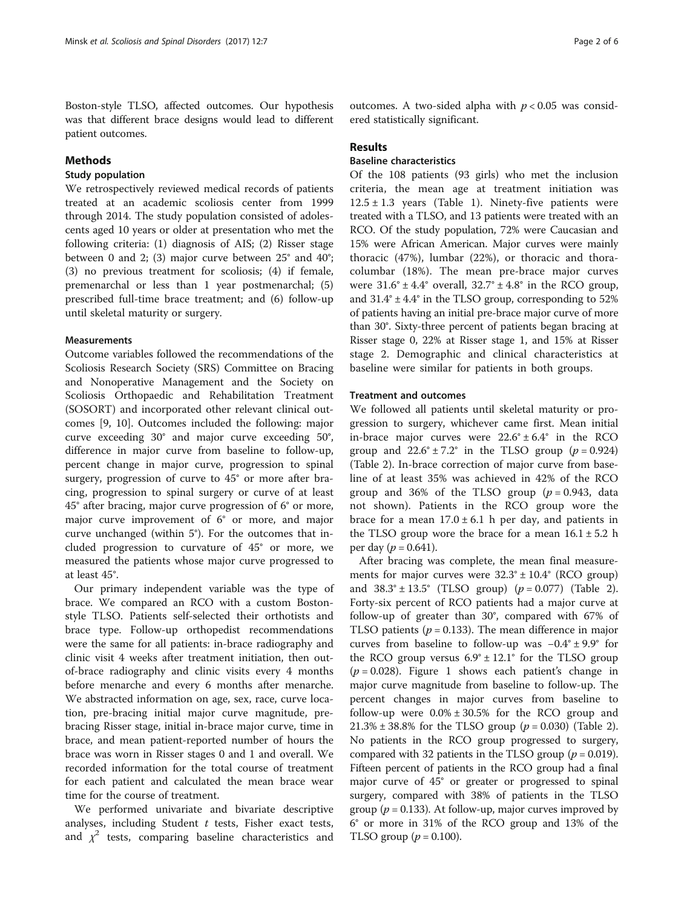Boston-style TLSO, affected outcomes. Our hypothesis was that different brace designs would lead to different patient outcomes.

## Methods

## Study population

We retrospectively reviewed medical records of patients treated at an academic scoliosis center from 1999 through 2014. The study population consisted of adolescents aged 10 years or older at presentation who met the following criteria: (1) diagnosis of AIS; (2) Risser stage between 0 and 2; (3) major curve between 25° and 40°; (3) no previous treatment for scoliosis; (4) if female, premenarchal or less than 1 year postmenarchal; (5) prescribed full-time brace treatment; and (6) follow-up until skeletal maturity or surgery.

## **Measurements**

Outcome variables followed the recommendations of the Scoliosis Research Society (SRS) Committee on Bracing and Nonoperative Management and the Society on Scoliosis Orthopaedic and Rehabilitation Treatment (SOSORT) and incorporated other relevant clinical outcomes [[9, 10\]](#page-5-0). Outcomes included the following: major curve exceeding 30° and major curve exceeding 50°, difference in major curve from baseline to follow-up, percent change in major curve, progression to spinal surgery, progression of curve to 45° or more after bracing, progression to spinal surgery or curve of at least 45° after bracing, major curve progression of 6° or more, major curve improvement of 6° or more, and major curve unchanged (within 5°). For the outcomes that included progression to curvature of 45° or more, we measured the patients whose major curve progressed to at least 45°.

Our primary independent variable was the type of brace. We compared an RCO with a custom Bostonstyle TLSO. Patients self-selected their orthotists and brace type. Follow-up orthopedist recommendations were the same for all patients: in-brace radiography and clinic visit 4 weeks after treatment initiation, then outof-brace radiography and clinic visits every 4 months before menarche and every 6 months after menarche. We abstracted information on age, sex, race, curve location, pre-bracing initial major curve magnitude, prebracing Risser stage, initial in-brace major curve, time in brace, and mean patient-reported number of hours the brace was worn in Risser stages 0 and 1 and overall. We recorded information for the total course of treatment for each patient and calculated the mean brace wear time for the course of treatment.

We performed univariate and bivariate descriptive analyses, including Student  $t$  tests, Fisher exact tests, and  $\chi^2$  tests, comparing baseline characteristics and

outcomes. A two-sided alpha with  $p < 0.05$  was considered statistically significant.

## Results

## Baseline characteristics

Of the 108 patients (93 girls) who met the inclusion criteria, the mean age at treatment initiation was  $12.5 \pm 1.3$  $12.5 \pm 1.3$  $12.5 \pm 1.3$  years (Table 1). Ninety-five patients were treated with a TLSO, and 13 patients were treated with an RCO. Of the study population, 72% were Caucasian and 15% were African American. Major curves were mainly thoracic (47%), lumbar (22%), or thoracic and thoracolumbar (18%). The mean pre-brace major curves were  $31.6^{\circ} \pm 4.4^{\circ}$  overall,  $32.7^{\circ} \pm 4.8^{\circ}$  in the RCO group, and  $31.4^{\circ} \pm 4.4^{\circ}$  in the TLSO group, corresponding to 52% of patients having an initial pre-brace major curve of more than 30°. Sixty-three percent of patients began bracing at Risser stage 0, 22% at Risser stage 1, and 15% at Risser stage 2. Demographic and clinical characteristics at baseline were similar for patients in both groups.

## Treatment and outcomes

We followed all patients until skeletal maturity or progression to surgery, whichever came first. Mean initial in-brace major curves were  $22.6^{\circ} \pm 6.4^{\circ}$  in the RCO group and  $22.6^{\circ} \pm 7.2^{\circ}$  in the TLSO group ( $p = 0.924$ ) (Table [2](#page-3-0)). In-brace correction of major curve from baseline of at least 35% was achieved in 42% of the RCO group and 36% of the TLSO group  $(p = 0.943, \text{ data})$ not shown). Patients in the RCO group wore the brace for a mean  $17.0 \pm 6.1$  h per day, and patients in the TLSO group wore the brace for a mean  $16.1 \pm 5.2$  h per day ( $p = 0.641$ ).

After bracing was complete, the mean final measurements for major curves were  $32.3^{\circ} \pm 10.4^{\circ}$  (RCO group) and  $38.3^{\circ} \pm 13.5^{\circ}$  (TLSO group) ( $p = 0.077$ ) (Table [2](#page-3-0)). Forty-six percent of RCO patients had a major curve at follow-up of greater than 30°, compared with 67% of TLSO patients ( $p = 0.133$ ). The mean difference in major curves from baseline to follow-up was −0.4° ± 9.9° for the RCO group versus  $6.9^{\circ} \pm 12.1^{\circ}$  for the TLSO group  $(p = 0.028)$ . Figure [1](#page-3-0) shows each patient's change in major curve magnitude from baseline to follow-up. The percent changes in major curves from baseline to follow-up were  $0.0\% \pm 30.5\%$  for the RCO group and 21.3%  $\pm$  38.8% for the TLSO group ( $p = 0.030$ ) (Table [2](#page-3-0)). No patients in the RCO group progressed to surgery, compared with 32 patients in the TLSO group ( $p = 0.019$ ). Fifteen percent of patients in the RCO group had a final major curve of 45° or greater or progressed to spinal surgery, compared with 38% of patients in the TLSO group ( $p = 0.133$ ). At follow-up, major curves improved by 6° or more in 31% of the RCO group and 13% of the TLSO group ( $p = 0.100$ ).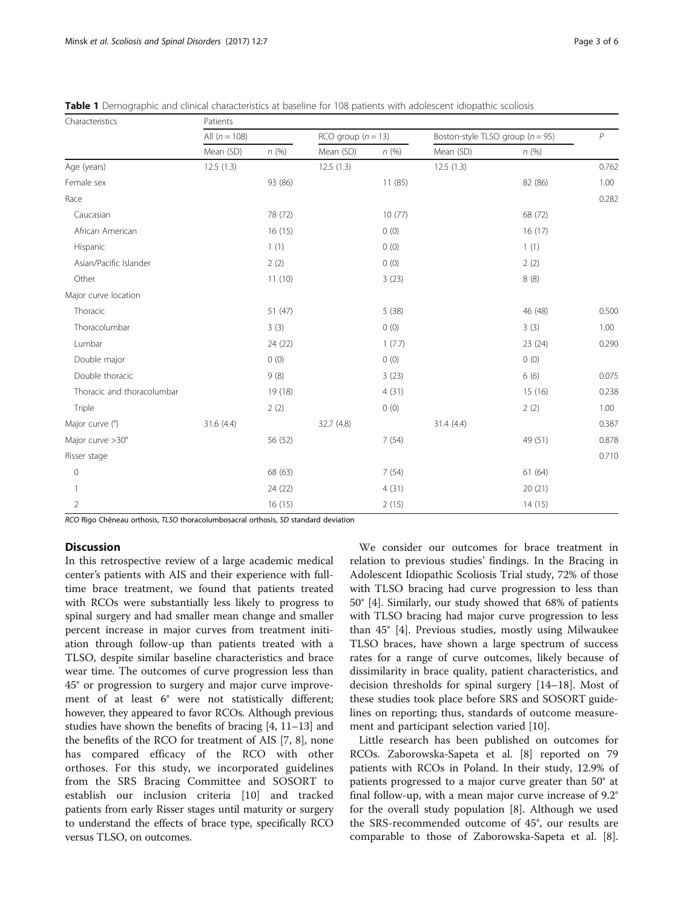| Characteristics            | Patients        |         |                      |        |                                      |         |                |  |  |
|----------------------------|-----------------|---------|----------------------|--------|--------------------------------------|---------|----------------|--|--|
|                            | All $(n = 108)$ |         | RCO group $(n = 13)$ |        | Boston-style TLSO group ( $n = 95$ ) |         | $\overline{P}$ |  |  |
|                            | Mean (SD)       | n(%)    | Mean (SD)            | n(%)   | Mean (SD)                            | n(%)    |                |  |  |
| Age (years)                | 12.5(1.3)       |         | 12.5(1.3)            |        | 12.5(1.3)                            |         | 0.762          |  |  |
| Female sex                 |                 | 93 (86) |                      | 11(85) |                                      | 82 (86) | 1.00           |  |  |
| Race                       |                 |         |                      |        |                                      |         | 0.282          |  |  |
| Caucasian                  |                 | 78 (72) |                      | 10(77) |                                      | 68 (72) |                |  |  |
| African American           |                 | 16(15)  |                      | 0(0)   |                                      | 16(17)  |                |  |  |
| Hispanic                   |                 | 1(1)    |                      | 0(0)   |                                      | 1(1)    |                |  |  |
| Asian/Pacific Islander     |                 | 2(2)    |                      | 0(0)   |                                      | 2(2)    |                |  |  |
| Other                      |                 | 11(10)  |                      | 3(23)  |                                      | 8(8)    |                |  |  |
| Major curve location       |                 |         |                      |        |                                      |         |                |  |  |
| Thoracic                   |                 | 51(47)  |                      | 5(38)  |                                      | 46 (48) | 0.500          |  |  |
| Thoracolumbar              |                 | 3(3)    |                      | 0(0)   |                                      | 3(3)    | 1.00           |  |  |
| Lumbar                     |                 | 24 (22) |                      | 1(7.7) |                                      | 23 (24) | 0.290          |  |  |
| Double major               |                 | 0(0)    |                      | 0(0)   |                                      | 0(0)    |                |  |  |
| Double thoracic            |                 | 9(8)    |                      | 3(23)  |                                      | 6(6)    | 0.075          |  |  |
| Thoracic and thoracolumbar |                 | 19 (18) |                      | 4(31)  |                                      | 15(16)  | 0.238          |  |  |
| Triple                     |                 | 2(2)    |                      | 0(0)   |                                      | 2(2)    | 1.00           |  |  |
| Major curve (°)            | 31.6(4.4)       |         | 32.7 (4.8)           |        | 31.4(4.4)                            |         | 0.387          |  |  |
| Major curve >30°           |                 | 56 (52) |                      | 7(54)  |                                      | 49 (51) | 0.878          |  |  |
| Risser stage               |                 |         |                      |        |                                      |         | 0.710          |  |  |
| $\mathbf 0$                |                 | 68 (63) |                      | 7(54)  |                                      | 61(64)  |                |  |  |
|                            |                 | 24 (22) |                      | 4(31)  |                                      | 20(21)  |                |  |  |
| 2                          |                 | 16 (15) |                      | 2(15)  |                                      | 14 (15) |                |  |  |

<span id="page-2-0"></span>Table 1 Demographic and clinical characteristics at baseline for 108 patients with adolescent idiopathic scoliosis

RCO Rigo Chêneau orthosis, TLSO thoracolumbosacral orthosis, SD standard deviation

## **Discussion**

In this retrospective review of a large academic medical center's patients with AIS and their experience with fulltime brace treatment, we found that patients treated with RCOs were substantially less likely to progress to spinal surgery and had smaller mean change and smaller percent increase in major curves from treatment initiation through follow-up than patients treated with a TLSO, despite similar baseline characteristics and brace wear time. The outcomes of curve progression less than 45° or progression to surgery and major curve improvement of at least 6° were not statistically different; however, they appeared to favor RCOs. Although previous studies have shown the benefits of bracing [\[4](#page-5-0), [11](#page-5-0)–[13\]](#page-5-0) and the benefits of the RCO for treatment of AIS [\[7, 8](#page-5-0)], none has compared efficacy of the RCO with other orthoses. For this study, we incorporated guidelines from the SRS Bracing Committee and SOSORT to establish our inclusion criteria [\[10](#page-5-0)] and tracked patients from early Risser stages until maturity or surgery to understand the effects of brace type, specifically RCO versus TLSO, on outcomes.

We consider our outcomes for brace treatment in relation to previous studies' findings. In the Bracing in Adolescent Idiopathic Scoliosis Trial study, 72% of those with TLSO bracing had curve progression to less than 50° [[4\]](#page-5-0). Similarly, our study showed that 68% of patients with TLSO bracing had major curve progression to less than 45° [[4](#page-5-0)]. Previous studies, mostly using Milwaukee TLSO braces, have shown a large spectrum of success rates for a range of curve outcomes, likely because of dissimilarity in brace quality, patient characteristics, and decision thresholds for spinal surgery [\[14](#page-5-0)–[18\]](#page-5-0). Most of these studies took place before SRS and SOSORT guidelines on reporting; thus, standards of outcome measurement and participant selection varied [[10\]](#page-5-0).

Little research has been published on outcomes for RCOs. Zaborowska-Sapeta et al. [\[8\]](#page-5-0) reported on 79 patients with RCOs in Poland. In their study, 12.9% of patients progressed to a major curve greater than 50° at final follow-up, with a mean major curve increase of 9.2° for the overall study population [\[8\]](#page-5-0). Although we used the SRS-recommended outcome of 45°, our results are comparable to those of Zaborowska-Sapeta et al. [\[8](#page-5-0)].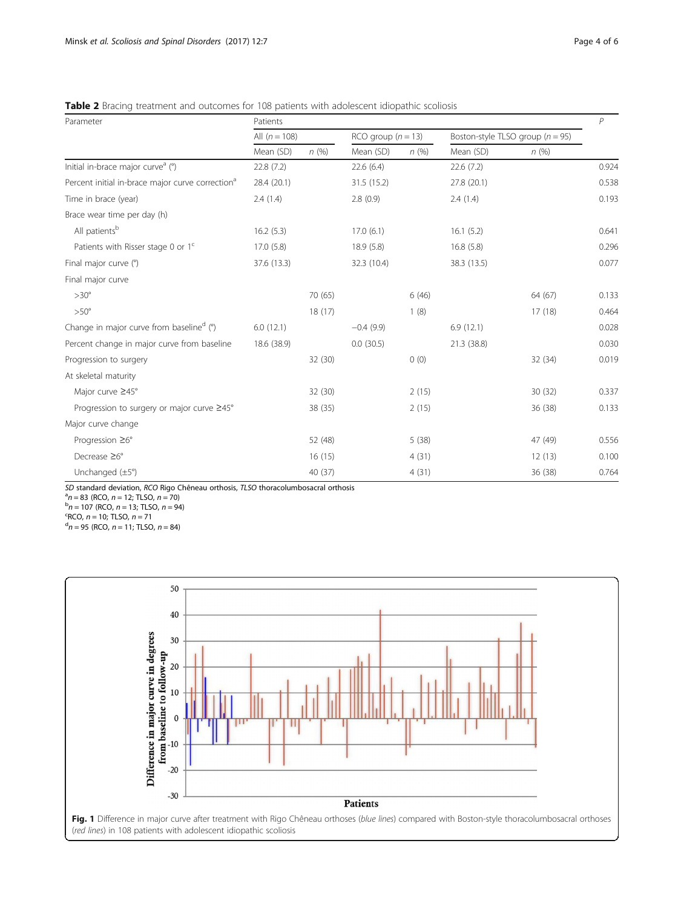<span id="page-3-0"></span>

| <b>Table 2</b> Bracing treatment and outcomes for 108 patients with adolescent idiopathic scoliosis |  |  |  |
|-----------------------------------------------------------------------------------------------------|--|--|--|
|-----------------------------------------------------------------------------------------------------|--|--|--|

| Parameter                                                    | Patients        |         |                      |       |                                      |         |       |
|--------------------------------------------------------------|-----------------|---------|----------------------|-------|--------------------------------------|---------|-------|
|                                                              | All $(n = 108)$ |         | RCO group $(n = 13)$ |       | Boston-style TLSO group ( $n = 95$ ) |         |       |
|                                                              | Mean (SD)       | n(%)    | Mean (SD)            | n(%)  | Mean (SD)                            | n(%)    |       |
| Initial in-brace major curve <sup>a</sup> (°)                | 22.8(7.2)       |         | 22.6(6.4)            |       | 22.6 (7.2)                           |         | 0.924 |
| Percent initial in-brace major curve correction <sup>a</sup> | 28.4 (20.1)     |         | 31.5 (15.2)          |       | 27.8 (20.1)                          |         | 0.538 |
| Time in brace (year)                                         | 2.4(1.4)        |         | 2.8(0.9)             |       | 2.4(1.4)                             |         | 0.193 |
| Brace wear time per day (h)                                  |                 |         |                      |       |                                      |         |       |
| All patients <sup>b</sup>                                    | 16.2(5.3)       |         | 17.0(6.1)            |       | 16.1(5.2)                            |         | 0.641 |
| Patients with Risser stage 0 or 1 <sup>c</sup>               | 17.0(5.8)       |         | 18.9(5.8)            |       | 16.8(5.8)                            |         | 0.296 |
| Final major curve (°)                                        | 37.6 (13.3)     |         | 32.3 (10.4)          |       | 38.3 (13.5)                          |         | 0.077 |
| Final major curve                                            |                 |         |                      |       |                                      |         |       |
| $>30^\circ$                                                  |                 | 70 (65) |                      | 6(46) |                                      | 64 (67) | 0.133 |
| $>50^\circ$                                                  |                 | 18(17)  |                      | 1(8)  |                                      | 17(18)  | 0.464 |
| Change in major curve from baselined (°)                     | 6.0(12.1)       |         | $-0.4(9.9)$          |       | 6.9(12.1)                            |         | 0.028 |
| Percent change in major curve from baseline                  | 18.6 (38.9)     |         | 0.0(30.5)            |       | 21.3 (38.8)                          |         | 0.030 |
| Progression to surgery                                       |                 | 32 (30) |                      | 0(0)  |                                      | 32 (34) | 0.019 |
| At skeletal maturity                                         |                 |         |                      |       |                                      |         |       |
| Major curve ≥45°                                             |                 | 32 (30) |                      | 2(15) |                                      | 30(32)  | 0.337 |
| Progression to surgery or major curve ≥45°                   |                 | 38(35)  |                      | 2(15) |                                      | 36(38)  | 0.133 |
| Major curve change                                           |                 |         |                      |       |                                      |         |       |
| Progression $\geq 6^\circ$                                   |                 | 52 (48) |                      | 5(38) |                                      | 47 (49) | 0.556 |
| Decrease $\geq 6^{\circ}$                                    |                 | 16(15)  |                      | 4(31) |                                      | 12(13)  | 0.100 |
| Unchanged $(\pm 5^{\circ})$                                  |                 | 40 (37) |                      | 4(31) |                                      | 36(38)  | 0.764 |

SD standard deviation, RCO Rigo Chêneau orthosis, TLSO thoracolumbosacral orthosis <sup>a</sup>

 $n^a = 83$  (RCO,  $n = 12$ ; TLSO,  $n = 70$ )<br> $n = 107$  (BCO,  $n = 13$ ; TLSO,  $n = 0$ 

 $n = 107$  (RCO,  $n = 13$ ; TLSO,  $n = 94$ )<br><sup>c</sup>RCO,  $n = 10$ ; TLSO,  $n = 71$ 

 ${}^{c}$ RCO,  $n = 10$ ; TLSO,  $n = 71$ 

 $n<sup>d</sup>n = 95$  (RCO,  $n = 11$ ; TLSO,  $n = 84$ )

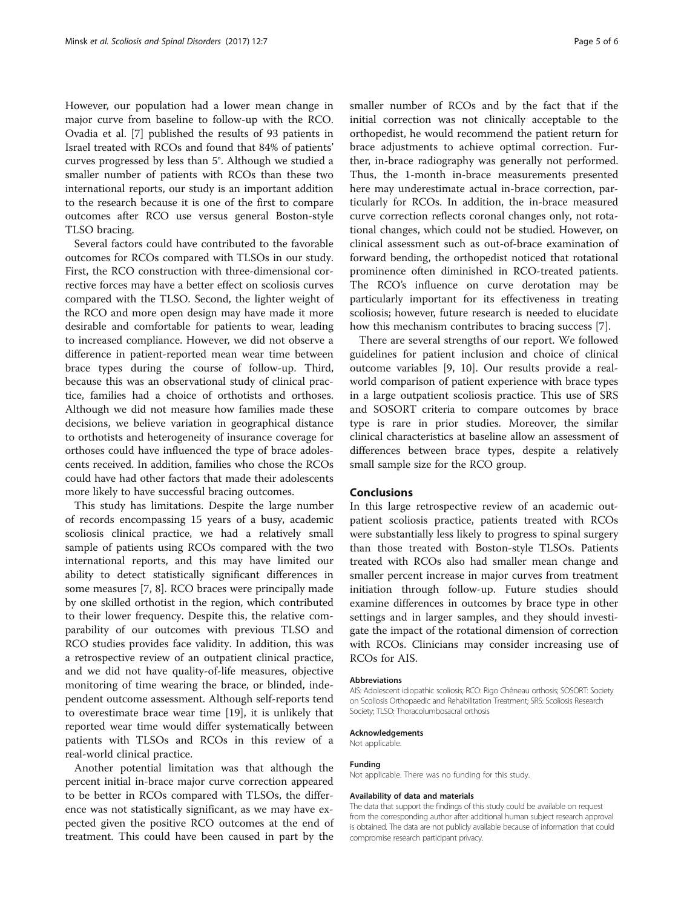However, our population had a lower mean change in major curve from baseline to follow-up with the RCO. Ovadia et al. [\[7](#page-5-0)] published the results of 93 patients in Israel treated with RCOs and found that 84% of patients' curves progressed by less than 5°. Although we studied a smaller number of patients with RCOs than these two international reports, our study is an important addition to the research because it is one of the first to compare outcomes after RCO use versus general Boston-style TLSO bracing.

Several factors could have contributed to the favorable outcomes for RCOs compared with TLSOs in our study. First, the RCO construction with three-dimensional corrective forces may have a better effect on scoliosis curves compared with the TLSO. Second, the lighter weight of the RCO and more open design may have made it more desirable and comfortable for patients to wear, leading to increased compliance. However, we did not observe a difference in patient-reported mean wear time between brace types during the course of follow-up. Third, because this was an observational study of clinical practice, families had a choice of orthotists and orthoses. Although we did not measure how families made these decisions, we believe variation in geographical distance to orthotists and heterogeneity of insurance coverage for orthoses could have influenced the type of brace adolescents received. In addition, families who chose the RCOs could have had other factors that made their adolescents more likely to have successful bracing outcomes.

This study has limitations. Despite the large number of records encompassing 15 years of a busy, academic scoliosis clinical practice, we had a relatively small sample of patients using RCOs compared with the two international reports, and this may have limited our ability to detect statistically significant differences in some measures [\[7](#page-5-0), [8](#page-5-0)]. RCO braces were principally made by one skilled orthotist in the region, which contributed to their lower frequency. Despite this, the relative comparability of our outcomes with previous TLSO and RCO studies provides face validity. In addition, this was a retrospective review of an outpatient clinical practice, and we did not have quality-of-life measures, objective monitoring of time wearing the brace, or blinded, independent outcome assessment. Although self-reports tend to overestimate brace wear time [\[19](#page-5-0)], it is unlikely that reported wear time would differ systematically between patients with TLSOs and RCOs in this review of a real-world clinical practice.

Another potential limitation was that although the percent initial in-brace major curve correction appeared to be better in RCOs compared with TLSOs, the difference was not statistically significant, as we may have expected given the positive RCO outcomes at the end of treatment. This could have been caused in part by the smaller number of RCOs and by the fact that if the initial correction was not clinically acceptable to the orthopedist, he would recommend the patient return for brace adjustments to achieve optimal correction. Further, in-brace radiography was generally not performed. Thus, the 1-month in-brace measurements presented here may underestimate actual in-brace correction, particularly for RCOs. In addition, the in-brace measured curve correction reflects coronal changes only, not rotational changes, which could not be studied. However, on clinical assessment such as out-of-brace examination of forward bending, the orthopedist noticed that rotational prominence often diminished in RCO-treated patients. The RCO's influence on curve derotation may be particularly important for its effectiveness in treating scoliosis; however, future research is needed to elucidate how this mechanism contributes to bracing success [[7\]](#page-5-0).

There are several strengths of our report. We followed guidelines for patient inclusion and choice of clinical outcome variables [\[9, 10](#page-5-0)]. Our results provide a realworld comparison of patient experience with brace types in a large outpatient scoliosis practice. This use of SRS and SOSORT criteria to compare outcomes by brace type is rare in prior studies. Moreover, the similar clinical characteristics at baseline allow an assessment of differences between brace types, despite a relatively small sample size for the RCO group.

## Conclusions

In this large retrospective review of an academic outpatient scoliosis practice, patients treated with RCOs were substantially less likely to progress to spinal surgery than those treated with Boston-style TLSOs. Patients treated with RCOs also had smaller mean change and smaller percent increase in major curves from treatment initiation through follow-up. Future studies should examine differences in outcomes by brace type in other settings and in larger samples, and they should investigate the impact of the rotational dimension of correction with RCOs. Clinicians may consider increasing use of RCOs for AIS.

#### Abbreviations

AIS: Adolescent idiopathic scoliosis; RCO: Rigo Chêneau orthosis; SOSORT: Society on Scoliosis Orthopaedic and Rehabilitation Treatment; SRS: Scoliosis Research Society; TLSO: Thoracolumbosacral orthosis

#### Acknowledgements

Not applicable.

#### Funding

Not applicable. There was no funding for this study.

#### Availability of data and materials

The data that support the findings of this study could be available on request from the corresponding author after additional human subject research approval is obtained. The data are not publicly available because of information that could compromise research participant privacy.